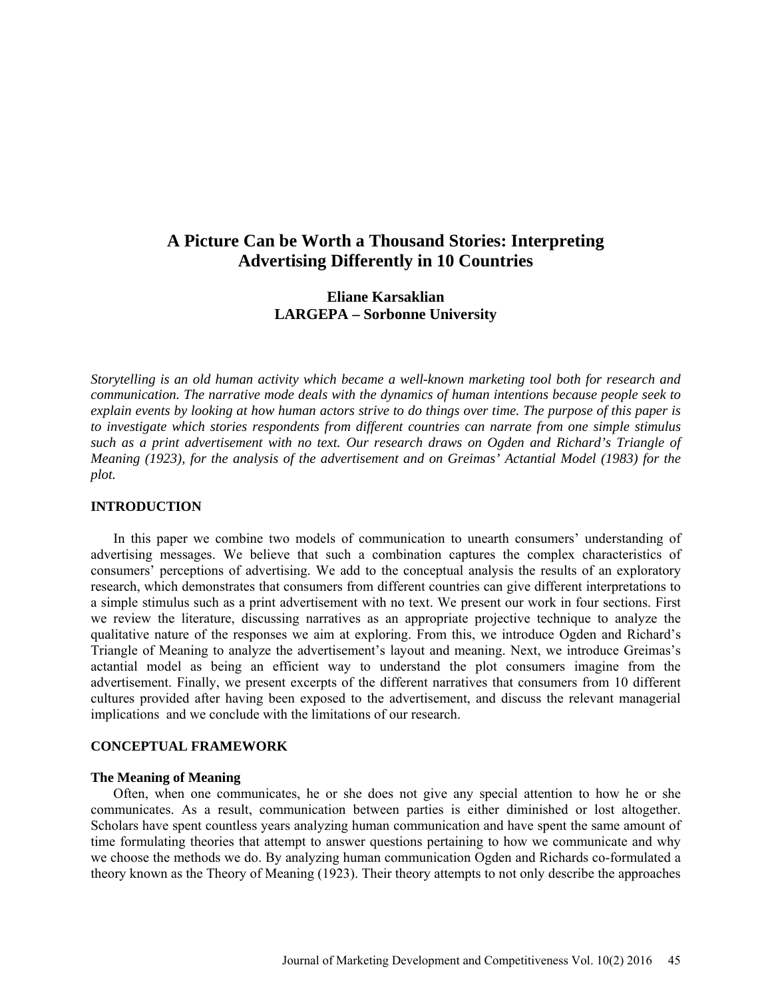# **A Picture Can be Worth a Thousand Stories: Interpreting Advertising Differently in 10 Countries**

## **Eliane Karsaklian LARGEPA – Sorbonne University**

*Storytelling is an old human activity which became a well-known marketing tool both for research and communication. The narrative mode deals with the dynamics of human intentions because people seek to explain events by looking at how human actors strive to do things over time. The purpose of this paper is to investigate which stories respondents from different countries can narrate from one simple stimulus such as a print advertisement with no text. Our research draws on Ogden and Richard's Triangle of Meaning (1923), for the analysis of the advertisement and on Greimas' Actantial Model (1983) for the plot.*

#### **INTRODUCTION**

In this paper we combine two models of communication to unearth consumers' understanding of advertising messages. We believe that such a combination captures the complex characteristics of consumers' perceptions of advertising. We add to the conceptual analysis the results of an exploratory research, which demonstrates that consumers from different countries can give different interpretations to a simple stimulus such as a print advertisement with no text. We present our work in four sections. First we review the literature, discussing narratives as an appropriate projective technique to analyze the qualitative nature of the responses we aim at exploring. From this, we introduce Ogden and Richard's Triangle of Meaning to analyze the advertisement's layout and meaning. Next, we introduce Greimas's actantial model as being an efficient way to understand the plot consumers imagine from the advertisement. Finally, we present excerpts of the different narratives that consumers from 10 different cultures provided after having been exposed to the advertisement, and discuss the relevant managerial implications and we conclude with the limitations of our research.

#### **CONCEPTUAL FRAMEWORK**

#### **The Meaning of Meaning**

Often, when one communicates, he or she does not give any special attention to how he or she communicates. As a result, communication between parties is either diminished or lost altogether. Scholars have spent countless years analyzing human communication and have spent the same amount of time formulating theories that attempt to answer questions pertaining to how we communicate and why we choose the methods we do. By analyzing human communication Ogden and Richards co-formulated a theory known as the Theory of Meaning (1923). Their theory attempts to not only describe the approaches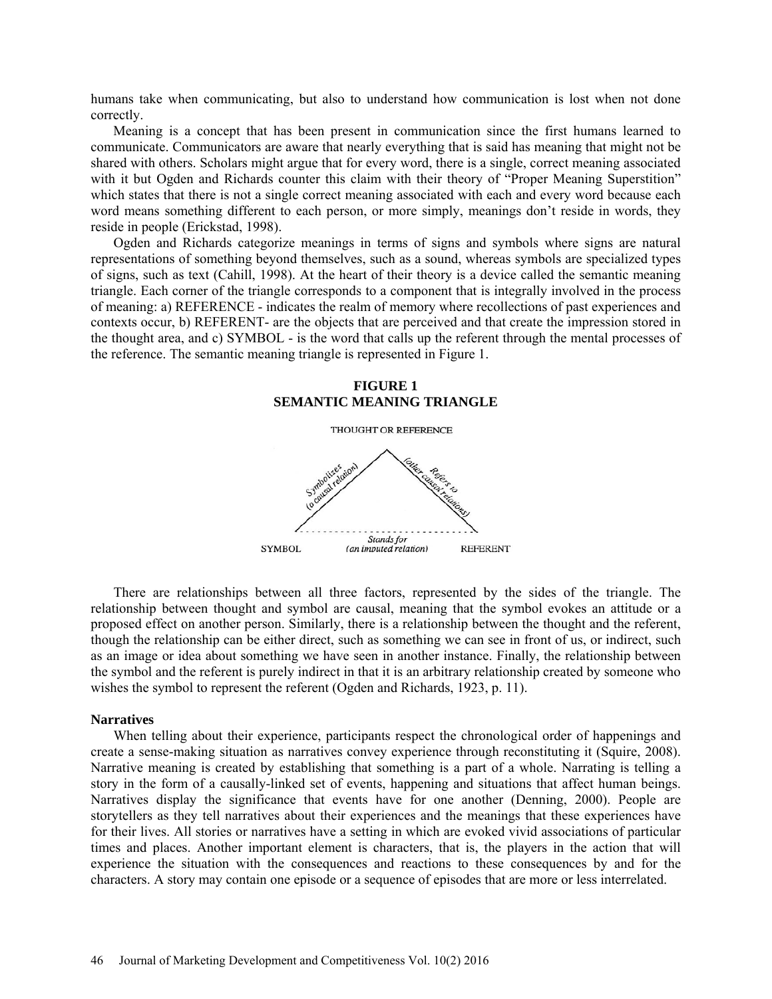humans take when communicating, but also to understand how communication is lost when not done correctly.

Meaning is a concept that has been present in communication since the first humans learned to communicate. Communicators are aware that nearly everything that is said has meaning that might not be shared with others. Scholars might argue that for every word, there is a single, correct meaning associated with it but Ogden and Richards counter this claim with their theory of "Proper Meaning Superstition" which states that there is not a single correct meaning associated with each and every word because each word means something different to each person, or more simply, meanings don't reside in words, they reside in people (Erickstad, 1998).

Ogden and Richards categorize meanings in terms of signs and symbols where signs are natural representations of something beyond themselves, such as a sound, whereas symbols are specialized types of signs, such as text (Cahill, 1998). At the heart of their theory is a device called the semantic meaning triangle. Each corner of the triangle corresponds to a component that is integrally involved in the process of meaning: a) REFERENCE - indicates the realm of memory where recollections of past experiences and contexts occur, b) REFERENT- are the objects that are perceived and that create the impression stored in the thought area, and c) SYMBOL - is the word that calls up the referent through the mental processes of the reference. The semantic meaning triangle is represented in Figure 1.



There are relationships between all three factors, represented by the sides of the triangle. The relationship between thought and symbol are causal, meaning that the symbol evokes an attitude or a proposed effect on another person. Similarly, there is a relationship between the thought and the referent, though the relationship can be either direct, such as something we can see in front of us, or indirect, such as an image or idea about something we have seen in another instance. Finally, the relationship between the symbol and the referent is purely indirect in that it is an arbitrary relationship created by someone who wishes the symbol to represent the referent (Ogden and Richards, 1923, p. 11).

#### **Narratives**

When telling about their experience, participants respect the chronological order of happenings and create a sense-making situation as narratives convey experience through reconstituting it (Squire, 2008). Narrative meaning is created by establishing that something is a part of a whole. Narrating is telling a story in the form of a causally-linked set of events, happening and situations that affect human beings. Narratives display the significance that events have for one another (Denning, 2000). People are storytellers as they tell narratives about their experiences and the meanings that these experiences have for their lives. All stories or narratives have a setting in which are evoked vivid associations of particular times and places. Another important element is characters, that is, the players in the action that will experience the situation with the consequences and reactions to these consequences by and for the characters. A story may contain one episode or a sequence of episodes that are more or less interrelated.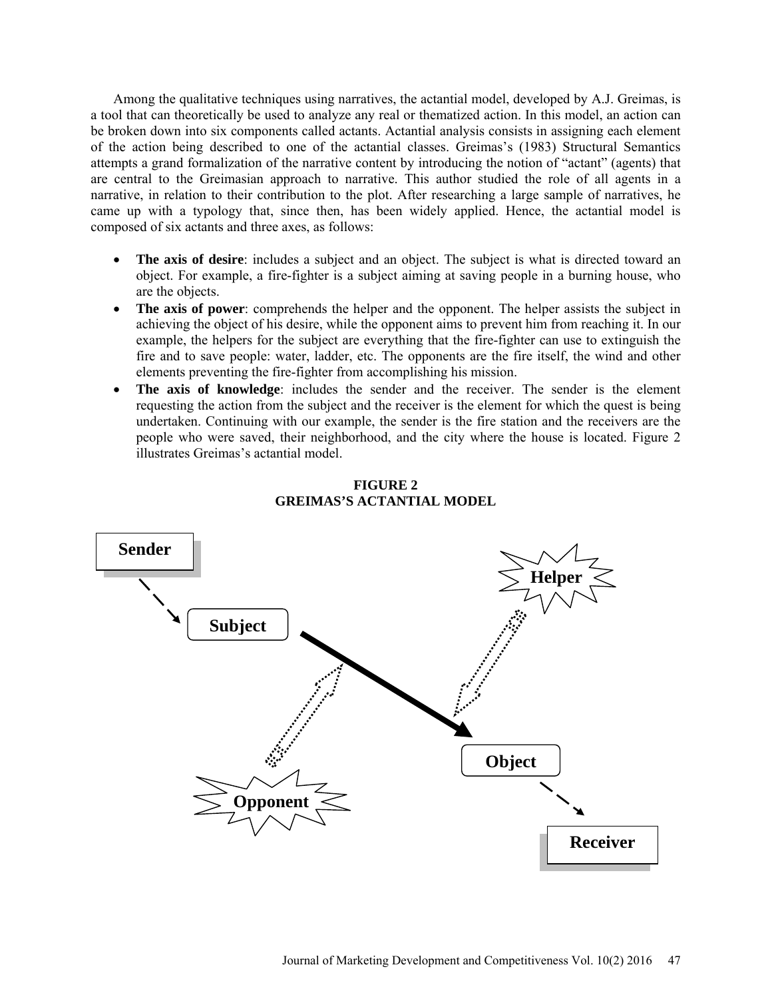Among the qualitative techniques using narratives, the actantial model, developed by A.J. Greimas, is a tool that can theoretically be used to analyze any real or thematized action. In this model, an action can be broken down into six components called actants. Actantial analysis consists in assigning each element of the action being described to one of the actantial classes. Greimas's (1983) Structural Semantics attempts a grand formalization of the narrative content by introducing the notion of "actant" (agents) that are central to the Greimasian approach to narrative. This author studied the role of all agents in a narrative, in relation to their contribution to the plot. After researching a large sample of narratives, he came up with a typology that, since then, has been widely applied. Hence, the actantial model is composed of six actants and three axes, as follows:

- **The axis of desire**: includes a subject and an object. The subject is what is directed toward an object. For example, a fire-fighter is a subject aiming at saving people in a burning house, who are the objects.
- **The axis of power**: comprehends the helper and the opponent. The helper assists the subject in achieving the object of his desire, while the opponent aims to prevent him from reaching it. In our example, the helpers for the subject are everything that the fire-fighter can use to extinguish the fire and to save people: water, ladder, etc. The opponents are the fire itself, the wind and other elements preventing the fire-fighter from accomplishing his mission.
- **The axis of knowledge:** includes the sender and the receiver. The sender is the element requesting the action from the subject and the receiver is the element for which the quest is being undertaken. Continuing with our example, the sender is the fire station and the receivers are the people who were saved, their neighborhood, and the city where the house is located. Figure 2 illustrates Greimas's actantial model.



## **FIGURE 2 GREIMAS'S ACTANTIAL MODEL**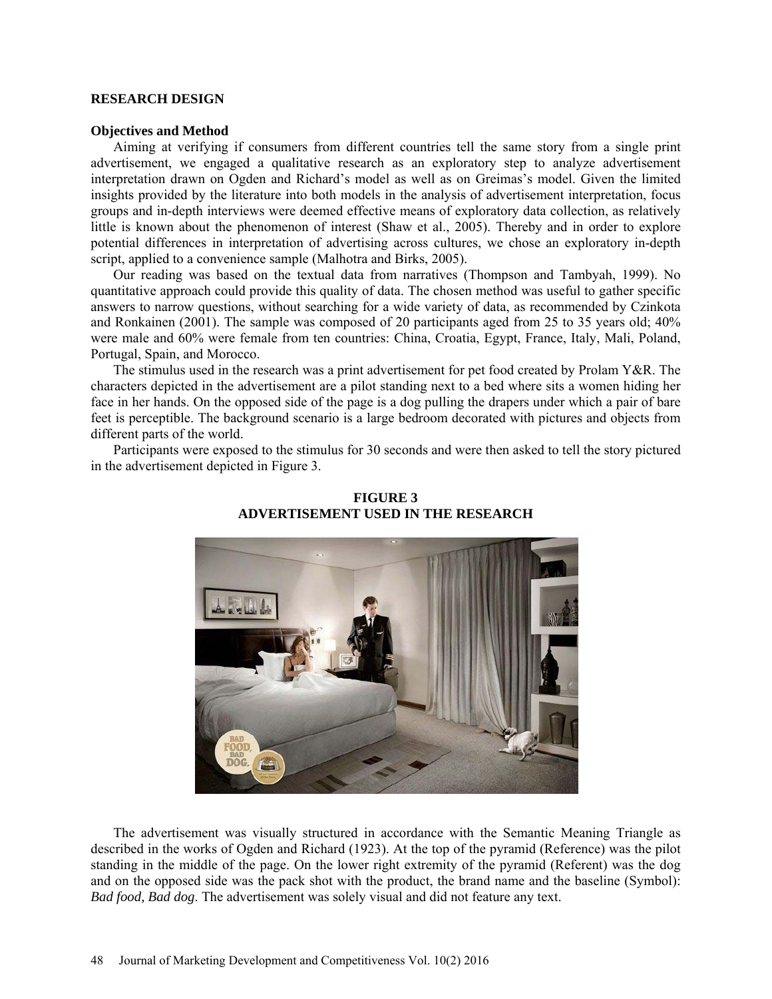#### **RESEARCH DESIGN**

#### **Objectives and Method**

Aiming at verifying if consumers from different countries tell the same story from a single print advertisement, we engaged a qualitative research as an exploratory step to analyze advertisement interpretation drawn on Ogden and Richard's model as well as on Greimas's model. Given the limited insights provided by the literature into both models in the analysis of advertisement interpretation, focus groups and in-depth interviews were deemed effective means of exploratory data collection, as relatively little is known about the phenomenon of interest (Shaw et al., 2005). Thereby and in order to explore potential differences in interpretation of advertising across cultures, we chose an exploratory in-depth script, applied to a convenience sample (Malhotra and Birks, 2005).

Our reading was based on the textual data from narratives (Thompson and Tambyah, 1999). No quantitative approach could provide this quality of data. The chosen method was useful to gather specific answers to narrow questions, without searching for a wide variety of data, as recommended by Czinkota and Ronkainen (2001). The sample was composed of 20 participants aged from 25 to 35 years old; 40% were male and 60% were female from ten countries: China, Croatia, Egypt, France, Italy, Mali, Poland, Portugal, Spain, and Morocco.

The stimulus used in the research was a print advertisement for pet food created by Prolam Y&R. The characters depicted in the advertisement are a pilot standing next to a bed where sits a women hiding her face in her hands. On the opposed side of the page is a dog pulling the drapers under which a pair of bare feet is perceptible. The background scenario is a large bedroom decorated with pictures and objects from different parts of the world.

Participants were exposed to the stimulus for 30 seconds and were then asked to tell the story pictured in the advertisement depicted in Figure 3.



**FIGURE 3 ADVERTISEMENT USED IN THE RESEARCH**

The advertisement was visually structured in accordance with the Semantic Meaning Triangle as described in the works of Ogden and Richard (1923). At the top of the pyramid (Reference) was the pilot standing in the middle of the page. On the lower right extremity of the pyramid (Referent) was the dog and on the opposed side was the pack shot with the product, the brand name and the baseline (Symbol): *Bad food, Bad dog*. The advertisement was solely visual and did not feature any text.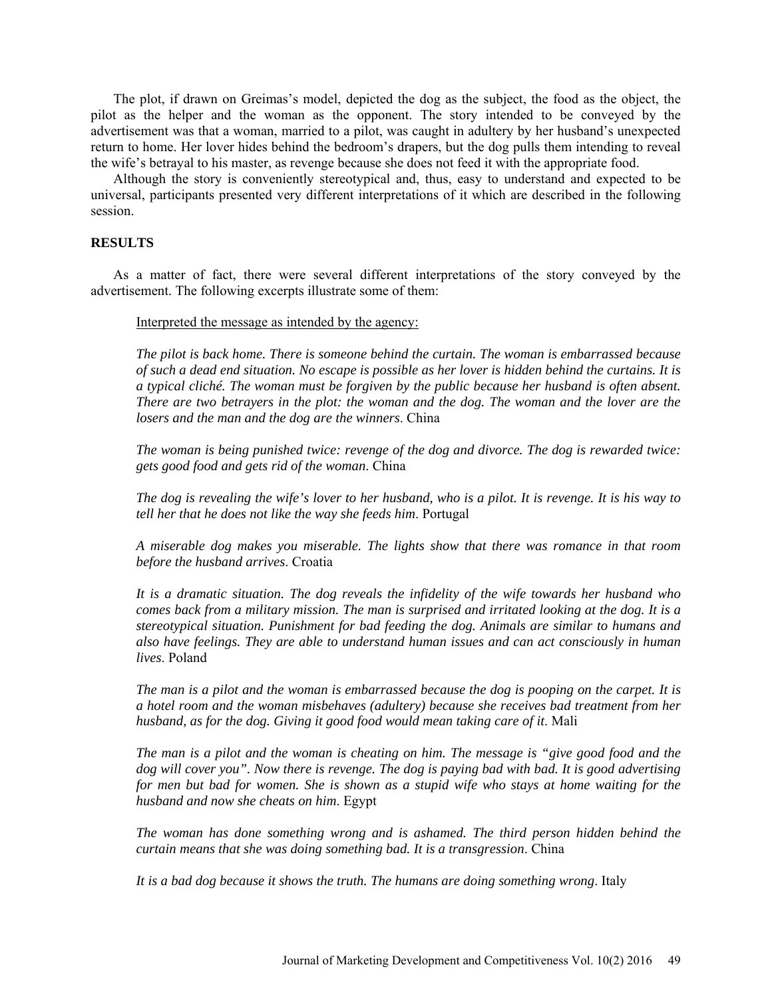The plot, if drawn on Greimas's model, depicted the dog as the subject, the food as the object, the pilot as the helper and the woman as the opponent. The story intended to be conveyed by the advertisement was that a woman, married to a pilot, was caught in adultery by her husband's unexpected return to home. Her lover hides behind the bedroom's drapers, but the dog pulls them intending to reveal the wife's betrayal to his master, as revenge because she does not feed it with the appropriate food.

Although the story is conveniently stereotypical and, thus, easy to understand and expected to be universal, participants presented very different interpretations of it which are described in the following session.

## **RESULTS**

As a matter of fact, there were several different interpretations of the story conveyed by the advertisement. The following excerpts illustrate some of them:

Interpreted the message as intended by the agency:

*The pilot is back home. There is someone behind the curtain. The woman is embarrassed because of such a dead end situation. No escape is possible as her lover is hidden behind the curtains. It is a typical cliché. The woman must be forgiven by the public because her husband is often absent. There are two betrayers in the plot: the woman and the dog. The woman and the lover are the losers and the man and the dog are the winners*. China

*The woman is being punished twice: revenge of the dog and divorce. The dog is rewarded twice: gets good food and gets rid of the woman*. China

*The dog is revealing the wife's lover to her husband, who is a pilot. It is revenge. It is his way to tell her that he does not like the way she feeds him*. Portugal

*A miserable dog makes you miserable. The lights show that there was romance in that room before the husband arrives*. Croatia

*It is a dramatic situation. The dog reveals the infidelity of the wife towards her husband who comes back from a military mission. The man is surprised and irritated looking at the dog. It is a stereotypical situation. Punishment for bad feeding the dog. Animals are similar to humans and also have feelings. They are able to understand human issues and can act consciously in human lives*. Poland

*The man is a pilot and the woman is embarrassed because the dog is pooping on the carpet. It is a hotel room and the woman misbehaves (adultery) because she receives bad treatment from her husband, as for the dog. Giving it good food would mean taking care of it*. Mali

*The man is a pilot and the woman is cheating on him. The message is "give good food and the dog will cover you". Now there is revenge. The dog is paying bad with bad. It is good advertising for men but bad for women. She is shown as a stupid wife who stays at home waiting for the husband and now she cheats on him*. Egypt

*The woman has done something wrong and is ashamed. The third person hidden behind the curtain means that she was doing something bad. It is a transgression*. China

*It is a bad dog because it shows the truth. The humans are doing something wrong*. Italy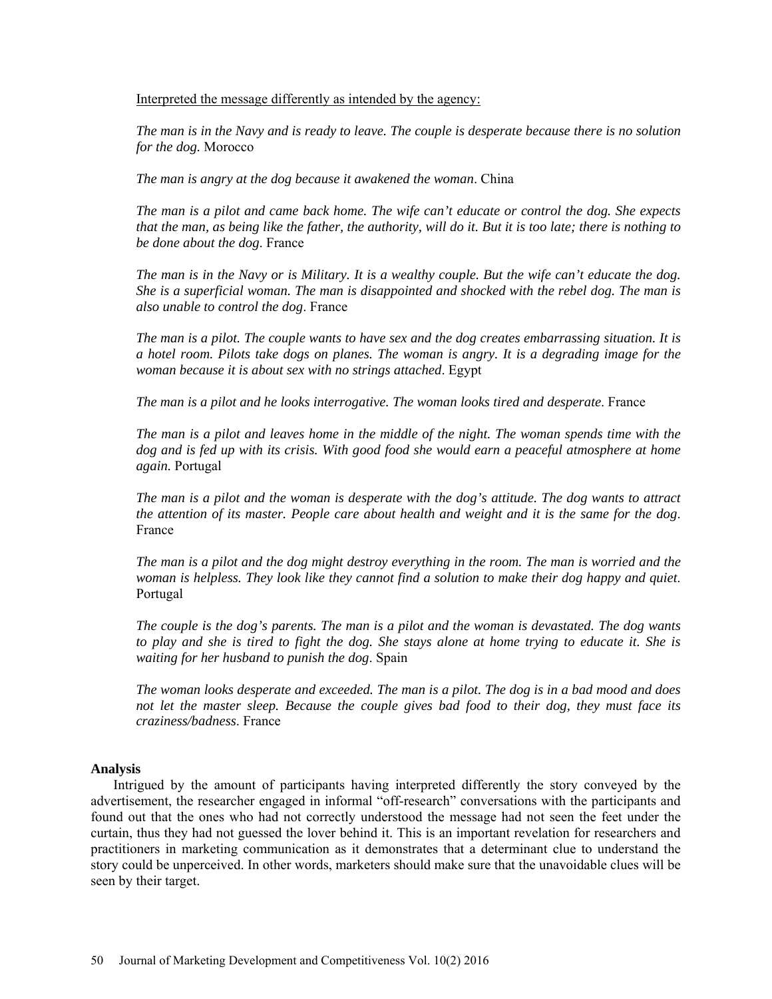Interpreted the message differently as intended by the agency:

*The man is in the Navy and is ready to leave. The couple is desperate because there is no solution for the dog.* Morocco

*The man is angry at the dog because it awakened the woman*. China

*The man is a pilot and came back home. The wife can't educate or control the dog. She expects that the man, as being like the father, the authority, will do it. But it is too late; there is nothing to be done about the dog*. France

*The man is in the Navy or is Military. It is a wealthy couple. But the wife can't educate the dog. She is a superficial woman. The man is disappointed and shocked with the rebel dog. The man is also unable to control the dog*. France

*The man is a pilot. The couple wants to have sex and the dog creates embarrassing situation. It is a hotel room. Pilots take dogs on planes. The woman is angry. It is a degrading image for the woman because it is about sex with no strings attached*. Egypt

*The man is a pilot and he looks interrogative. The woman looks tired and desperate*. France

*The man is a pilot and leaves home in the middle of the night. The woman spends time with the dog and is fed up with its crisis. With good food she would earn a peaceful atmosphere at home again.* Portugal

*The man is a pilot and the woman is desperate with the dog's attitude. The dog wants to attract the attention of its master. People care about health and weight and it is the same for the dog*. France

*The man is a pilot and the dog might destroy everything in the room. The man is worried and the woman is helpless. They look like they cannot find a solution to make their dog happy and quiet*. Portugal

*The couple is the dog's parents. The man is a pilot and the woman is devastated. The dog wants to play and she is tired to fight the dog. She stays alone at home trying to educate it. She is waiting for her husband to punish the dog*. Spain

*The woman looks desperate and exceeded. The man is a pilot. The dog is in a bad mood and does not let the master sleep. Because the couple gives bad food to their dog, they must face its craziness/badness*. France

## **Analysis**

Intrigued by the amount of participants having interpreted differently the story conveyed by the advertisement, the researcher engaged in informal "off-research" conversations with the participants and found out that the ones who had not correctly understood the message had not seen the feet under the curtain, thus they had not guessed the lover behind it. This is an important revelation for researchers and practitioners in marketing communication as it demonstrates that a determinant clue to understand the story could be unperceived. In other words, marketers should make sure that the unavoidable clues will be seen by their target.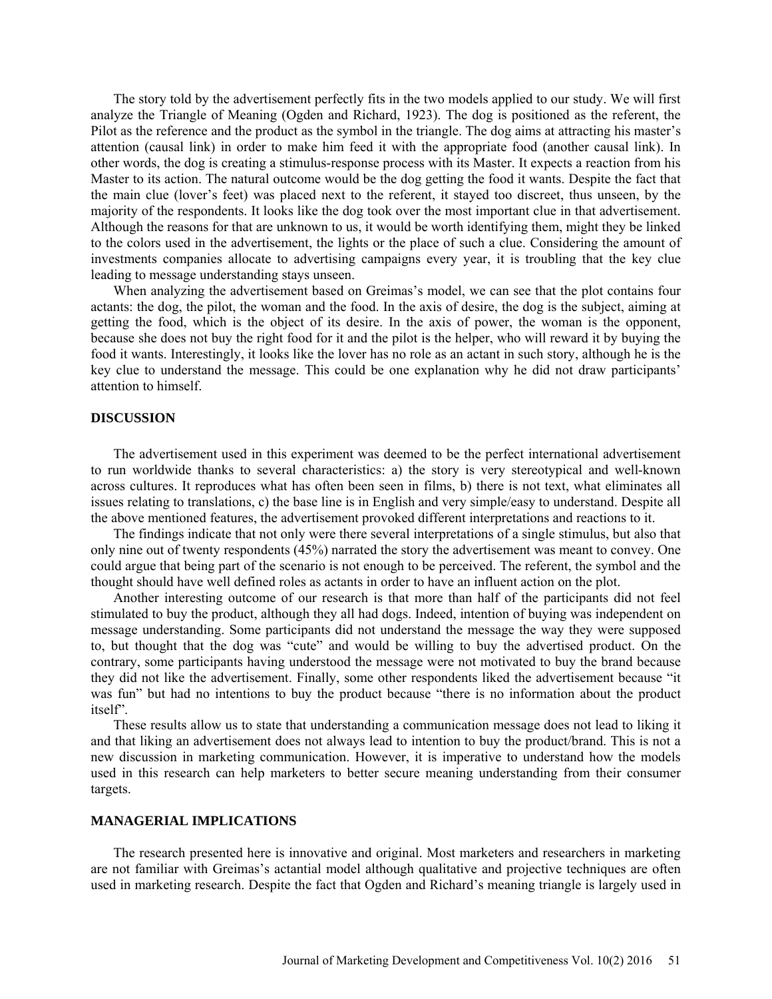The story told by the advertisement perfectly fits in the two models applied to our study. We will first analyze the Triangle of Meaning (Ogden and Richard, 1923). The dog is positioned as the referent, the Pilot as the reference and the product as the symbol in the triangle. The dog aims at attracting his master's attention (causal link) in order to make him feed it with the appropriate food (another causal link). In other words, the dog is creating a stimulus-response process with its Master. It expects a reaction from his Master to its action. The natural outcome would be the dog getting the food it wants. Despite the fact that the main clue (lover's feet) was placed next to the referent, it stayed too discreet, thus unseen, by the majority of the respondents. It looks like the dog took over the most important clue in that advertisement. Although the reasons for that are unknown to us, it would be worth identifying them, might they be linked to the colors used in the advertisement, the lights or the place of such a clue. Considering the amount of investments companies allocate to advertising campaigns every year, it is troubling that the key clue leading to message understanding stays unseen.

When analyzing the advertisement based on Greimas's model, we can see that the plot contains four actants: the dog, the pilot, the woman and the food. In the axis of desire, the dog is the subject, aiming at getting the food, which is the object of its desire. In the axis of power, the woman is the opponent, because she does not buy the right food for it and the pilot is the helper, who will reward it by buying the food it wants. Interestingly, it looks like the lover has no role as an actant in such story, although he is the key clue to understand the message. This could be one explanation why he did not draw participants' attention to himself.

## **DISCUSSION**

The advertisement used in this experiment was deemed to be the perfect international advertisement to run worldwide thanks to several characteristics: a) the story is very stereotypical and well-known across cultures. It reproduces what has often been seen in films, b) there is not text, what eliminates all issues relating to translations, c) the base line is in English and very simple/easy to understand. Despite all the above mentioned features, the advertisement provoked different interpretations and reactions to it.

The findings indicate that not only were there several interpretations of a single stimulus, but also that only nine out of twenty respondents (45%) narrated the story the advertisement was meant to convey. One could argue that being part of the scenario is not enough to be perceived. The referent, the symbol and the thought should have well defined roles as actants in order to have an influent action on the plot.

Another interesting outcome of our research is that more than half of the participants did not feel stimulated to buy the product, although they all had dogs. Indeed, intention of buying was independent on message understanding. Some participants did not understand the message the way they were supposed to, but thought that the dog was "cute" and would be willing to buy the advertised product. On the contrary, some participants having understood the message were not motivated to buy the brand because they did not like the advertisement. Finally, some other respondents liked the advertisement because "it was fun" but had no intentions to buy the product because "there is no information about the product itself".

These results allow us to state that understanding a communication message does not lead to liking it and that liking an advertisement does not always lead to intention to buy the product/brand. This is not a new discussion in marketing communication. However, it is imperative to understand how the models used in this research can help marketers to better secure meaning understanding from their consumer targets.

## **MANAGERIAL IMPLICATIONS**

The research presented here is innovative and original. Most marketers and researchers in marketing are not familiar with Greimas's actantial model although qualitative and projective techniques are often used in marketing research. Despite the fact that Ogden and Richard's meaning triangle is largely used in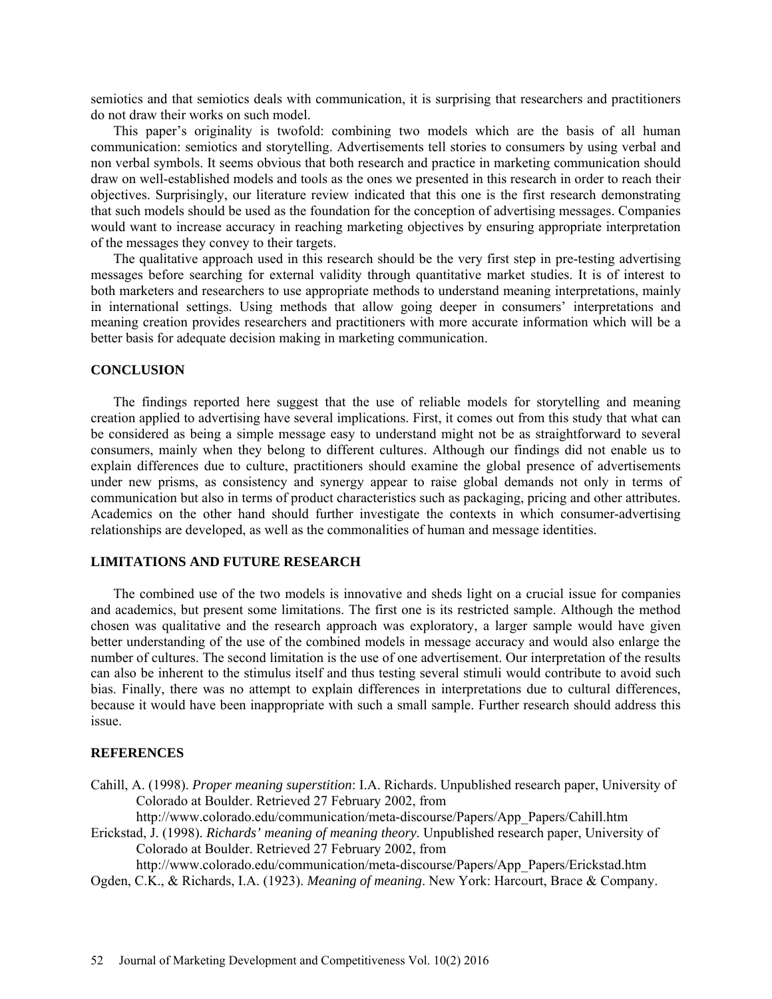semiotics and that semiotics deals with communication, it is surprising that researchers and practitioners do not draw their works on such model.

This paper's originality is twofold: combining two models which are the basis of all human communication: semiotics and storytelling. Advertisements tell stories to consumers by using verbal and non verbal symbols. It seems obvious that both research and practice in marketing communication should draw on well-established models and tools as the ones we presented in this research in order to reach their objectives. Surprisingly, our literature review indicated that this one is the first research demonstrating that such models should be used as the foundation for the conception of advertising messages. Companies would want to increase accuracy in reaching marketing objectives by ensuring appropriate interpretation of the messages they convey to their targets.

The qualitative approach used in this research should be the very first step in pre-testing advertising messages before searching for external validity through quantitative market studies. It is of interest to both marketers and researchers to use appropriate methods to understand meaning interpretations, mainly in international settings. Using methods that allow going deeper in consumers' interpretations and meaning creation provides researchers and practitioners with more accurate information which will be a better basis for adequate decision making in marketing communication.

#### **CONCLUSION**

The findings reported here suggest that the use of reliable models for storytelling and meaning creation applied to advertising have several implications. First, it comes out from this study that what can be considered as being a simple message easy to understand might not be as straightforward to several consumers, mainly when they belong to different cultures. Although our findings did not enable us to explain differences due to culture, practitioners should examine the global presence of advertisements under new prisms, as consistency and synergy appear to raise global demands not only in terms of communication but also in terms of product characteristics such as packaging, pricing and other attributes. Academics on the other hand should further investigate the contexts in which consumer-advertising relationships are developed, as well as the commonalities of human and message identities.

## **LIMITATIONS AND FUTURE RESEARCH**

The combined use of the two models is innovative and sheds light on a crucial issue for companies and academics, but present some limitations. The first one is its restricted sample. Although the method chosen was qualitative and the research approach was exploratory, a larger sample would have given better understanding of the use of the combined models in message accuracy and would also enlarge the number of cultures. The second limitation is the use of one advertisement. Our interpretation of the results can also be inherent to the stimulus itself and thus testing several stimuli would contribute to avoid such bias. Finally, there was no attempt to explain differences in interpretations due to cultural differences, because it would have been inappropriate with such a small sample. Further research should address this issue.

## **REFERENCES**

Cahill, A. (1998). *Proper meaning superstition*: I.A. Richards. Unpublished research paper, University of Colorado at Boulder. Retrieved 27 February 2002, from

[http://www.colorado.edu/communication/meta-discourse/Papers/App\\_Papers/Cahill.htm](http://www.colorado.edu/communication/meta-discourse/Papers/App_Papers/Cahill.htm)

Erickstad, J. (1998). *Richards' meaning of meaning theory*. Unpublished research paper, University of Colorado at Boulder. Retrieved 27 February 2002, from

[http://www.colorado.edu/communication/meta-discourse/Papers/App\\_Papers/Erickstad.htm](http://www.colorado.edu/communication/meta-discourse/Papers/App_Papers/Erickstad.htm) Ogden, C.K., & Richards, I.A. (1923). *Meaning of meaning*. New York: Harcourt, Brace & Company.